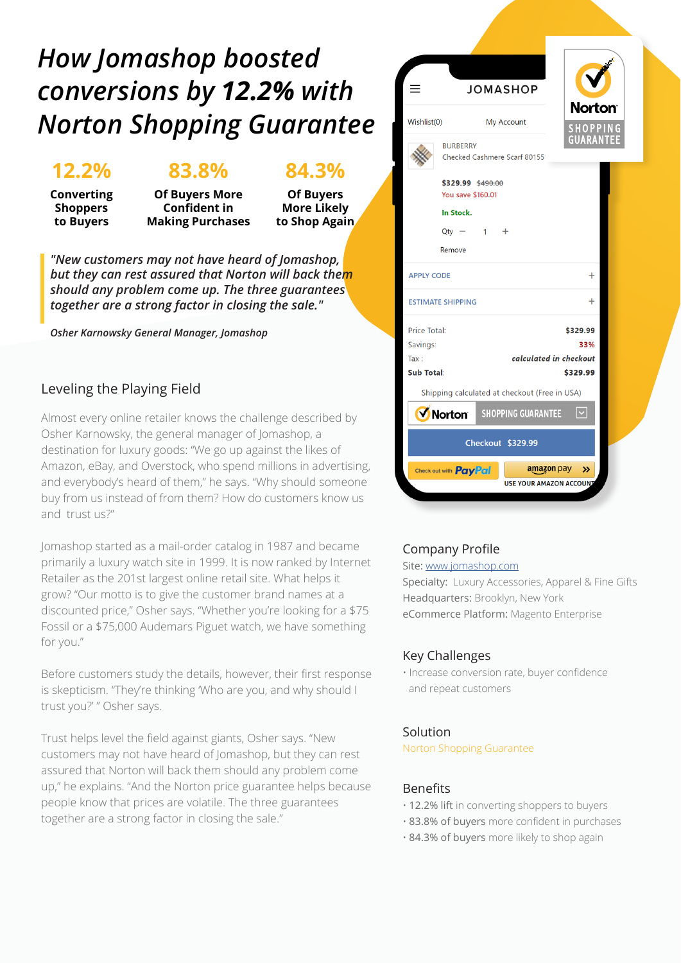## *How Jomashop boosted conversions by 12.2% with Norton Shopping Guarantee*

## **12.2%**

**Converting Shoppers to Buyers**

## **83.8%**

**Of Buyers More Confident in Making Purchases**

### **84.3%**

**Of Buyers More Likely to Shop Again**

*"New customers may not have heard of Jomashop, but they can rest assured that Norton will back them should any problem come up. The three guarantees together are a strong factor in closing the sale."*

*Osher Karnowsky General Manager, Jomashop*

#### Leveling the Playing Field

Almost every online retailer knows the challenge described by Osher Karnowsky, the general manager of Jomashop, a destination for luxury goods: "We go up against the likes of Amazon, eBay, and Overstock, who spend millions in advertising, and everybody's heard of them," he says. "Why should someone buy from us instead of from them? How do customers know us and trust us?"

Jomashop started as a mail-order catalog in 1987 and became primarily a luxury watch site in 1999. It is now ranked by Internet Retailer as the 201st largest online retail site. What helps it grow? "Our motto is to give the customer brand names at a discounted price," Osher says. "Whether you're looking for a \$75 Fossil or a \$75,000 Audemars Piguet watch, we have something for you."

Before customers study the details, however, their first response is skepticism. "They're thinking 'Who are you, and why should I trust you?' " Osher says.

Trust helps level the field against giants, Osher says. "New customers may not have heard of Jomashop, but they can rest assured that Norton will back them should any problem come up," he explains. "And the Norton price guarantee helps because people know that prices are volatile. The three guarantees together are a strong factor in closing the sale."



#### Company Profile

Site: www.jomashop.com

Specialty: Luxury Accessories, Apparel & Fine Gifts Headquarters: Brooklyn, New York eCommerce Platform: Magento Enterprise

#### Key Challenges

• Increase conversion rate, buyer confidence and repeat customers

#### Solution

Norton Shopping Guarantee

#### Benefits

- 12.2% lift in converting shoppers to buyers
- 83.8% of buyers more confident in purchases
- 84.3% of buyers more likely to shop again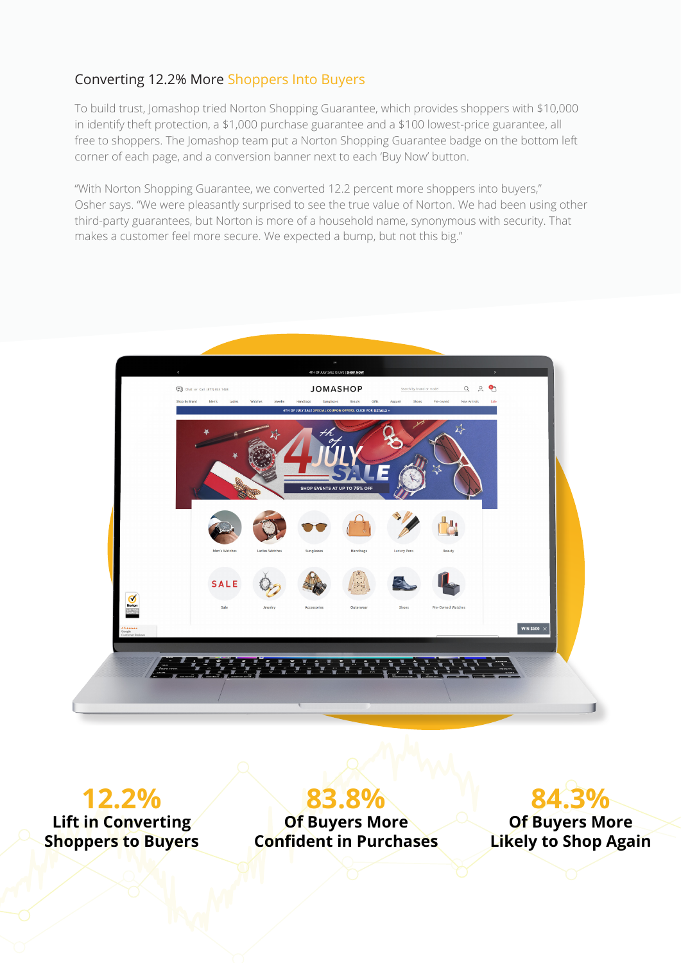#### Converting 12.2% More Shoppers Into Buyers

To build trust, Jomashop tried Norton Shopping Guarantee, which provides shoppers with \$10,000 in identify theft protection, a \$1,000 purchase guarantee and a \$100 lowest-price guarantee, all free to shoppers. The Jomashop team put a Norton Shopping Guarantee badge on the bottom left corner of each page, and a conversion banner next to each 'Buy Now' button.

"With Norton Shopping Guarantee, we converted 12.2 percent more shoppers into buyers," Osher says. "We were pleasantly surprised to see the true value of Norton. We had been using other third-party guarantees, but Norton is more of a household name, synonymous with security. That makes a customer feel more secure. We expected a bump, but not this big."



**12.2% Lift in Converting Shoppers to Buyers**

**83.8% Of Buyers More Confident in Purchases**

**84.3%**

**Of Buyers More Likely to Shop Again**